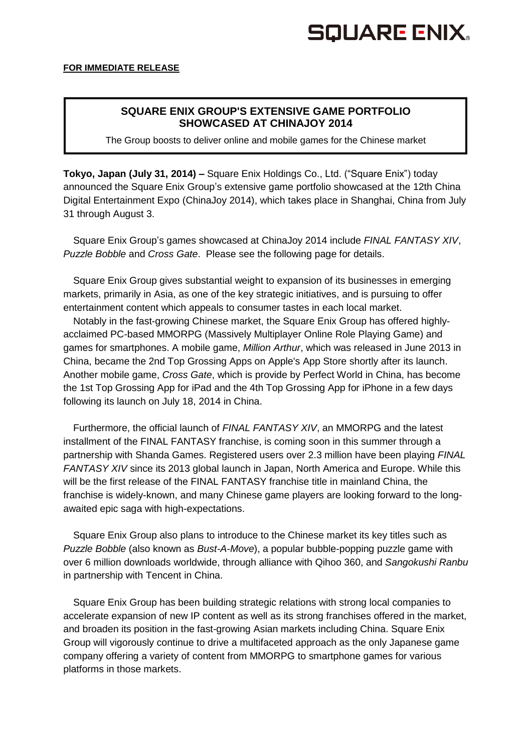# **SQUARE ENIX.**

## **SQUARE ENIX GROUP'S EXTENSIVE GAME PORTFOLIO SHOWCASED AT CHINAJOY 2014**

The Group boosts to deliver online and mobile games for the Chinese market

**Tokyo, Japan (July 31, 2014) –** Square Enix Holdings Co., Ltd. ("Square Enix") today announced the Square Enix Group's extensive game portfolio showcased at the 12th China Digital Entertainment Expo (ChinaJoy 2014), which takes place in Shanghai, China from July 31 through August 3.

Square Enix Group's games showcased at ChinaJoy 2014 include *FINAL FANTASY XIV*, *Puzzle Bobble* and *Cross Gate*. Please see the following page for details.

Square Enix Group gives substantial weight to expansion of its businesses in emerging markets, primarily in Asia, as one of the key strategic initiatives, and is pursuing to offer entertainment content which appeals to consumer tastes in each local market.

Notably in the fast-growing Chinese market, the Square Enix Group has offered highlyacclaimed PC-based MMORPG (Massively Multiplayer Online Role Playing Game) and games for smartphones. A mobile game, *Million Arthur*, which was released in June 2013 in China, became the 2nd Top Grossing Apps on Apple's App Store shortly after its launch. Another mobile game, *Cross Gate*, which is provide by Perfect World in China, has become the 1st Top Grossing App for iPad and the 4th Top Grossing App for iPhone in a few days following its launch on July 18, 2014 in China.

Furthermore, the official launch of *FINAL FANTASY XIV*, an MMORPG and the latest installment of the FINAL FANTASY franchise, is coming soon in this summer through a partnership with Shanda Games. Registered users over 2.3 million have been playing *FINAL FANTASY XIV* since its 2013 global launch in Japan, North America and Europe. While this will be the first release of the FINAL FANTASY franchise title in mainland China, the franchise is widely-known, and many Chinese game players are looking forward to the longawaited epic saga with high-expectations.

Square Enix Group also plans to introduce to the Chinese market its key titles such as *Puzzle Bobble* (also known as *Bust-A-Move*), a popular bubble-popping puzzle game with over 6 million downloads worldwide, through alliance with Qihoo 360, and *Sangokushi Ranbu* in partnership with Tencent in China.

Square Enix Group has been building strategic relations with strong local companies to accelerate expansion of new IP content as well as its strong franchises offered in the market, and broaden its position in the fast-growing Asian markets including China. Square Enix Group will vigorously continue to drive a multifaceted approach as the only Japanese game company offering a variety of content from MMORPG to smartphone games for various platforms in those markets.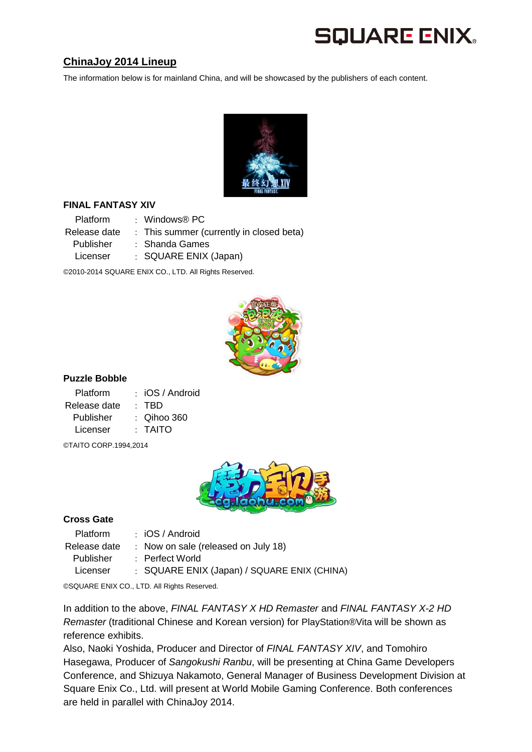## **SQUARE ENIX.**

## **ChinaJoy 2014 Lineup**

The information below is for mainland China, and will be showcased by the publishers of each content.



#### **FINAL FANTASY XIV**

Platform : Windows® PC Release date : This summer (currently in closed beta) Publisher : Shanda Games Licenser : SQUARE ENIX (Japan)

©2010-2014 SQUARE ENIX CO., LTD. All Rights Reserved.



#### **Puzzle Bobble**

| <b>Platform</b> | $\therefore$ iOS / Android |
|-----------------|----------------------------|
| Release date    | · TBD                      |
| Publisher       | $\therefore$ Qihoo 360     |
| Licenser        | · TAITO                    |
|                 |                            |

©TAITO CORP.1994,2014



#### **Cross Gate**

Platform : iOS / Android Release date : Now on sale (released on July 18) Publisher : Perfect World Licenser : SQUARE ENIX (Japan) / SQUARE ENIX (CHINA)

©SQUARE ENIX CO., LTD. All Rights Reserved.

In addition to the above, *FINAL FANTASY X HD Remaster* and *FINAL FANTASY X-2 HD Remaster* (traditional Chinese and Korean version) for PlayStation®Vita will be shown as reference exhibits.

Also, Naoki Yoshida, Producer and Director of *FINAL FANTASY XIV*, and Tomohiro Hasegawa, Producer of *Sangokushi Ranbu*, will be presenting at China Game Developers Conference, and Shizuya Nakamoto, General Manager of Business Development Division at Square Enix Co., Ltd. will present at World Mobile Gaming Conference. Both conferences are held in parallel with ChinaJoy 2014.